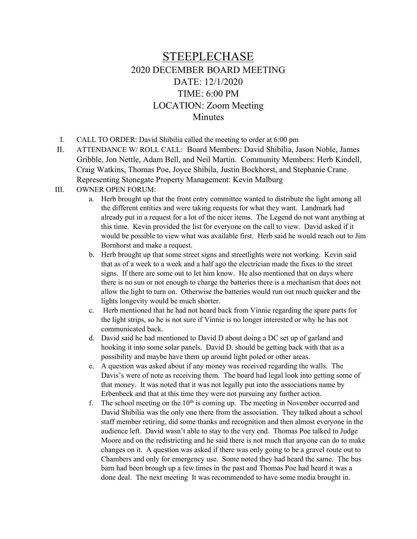## STEEPLECHASE 2020 DECEMBER BOARD MEETING DATE: 12/1/2020 TIME: 6:00 PM LOCATION: Zoom Meeting **Minutes**

- I. CALL TO ORDER: David Shibilia called the meeting to order at 6:00 pm
- II. ATTENDANCE W/ ROLL CALL: Board Members: David Shibilia, Jason Noble, James Gribble, Jon Nettle, Adam Bell, and Neil Martin. Community Members: Herb Kindell, Craig Watkins, Thomas Poe, Joyce Shibila, Justin Bockhorst, and Stephanie Crane. Representing Stonegate Property Management: Kevin Malburg

## III. OWNER OPEN FORUM:

- a. Herb brought up that the front entry committee wanted to distribute the light among all the different entities and were taking requests for what they want. Landmark had already put in a request for a lot of the nicer items. The Legend do not want anything at this time. Kevin provided the list for everyone on the call to view. David asked if it would be possible to view what was available first. Herb said he would reach out to Jim Bornhorst and make a request.
- b. Herb brought up that some street signs and streetlights were not working. Kevin said that as of a week to a week and a half ago the electrician made the fixes to the street signs. If there are some out to let him know. He also mentioned that on days where there is no sun or not enough to charge the batteries there is a mechanism that does not allow the light to turn on. Otherwise the batteries would run out much quicker and the lights longevity would be much shorter.
- c. Herb mentioned that he had not heard back from Vinnie regarding the spare parts for the light strips, so he is not sure if Vinnie is no longer interested or why he has not communicated back.
- d. David said he had mentioned to David D about doing a DC set up of garland and hooking it into some solar panels. David D. should be getting back with that as a possibility and maybe have them up around light poled or other areas.
- e. A question was asked about if any money was received regarding the walls. The Davis's were of note as receiving them. The board had legal look into getting some of that money. It was noted that it was not legally put into the associations name by Erbenbeck and that at this time they were not pursuing any further action.
- f. The school meeting on the  $10<sup>th</sup>$  is coming up. The meeting in November occurred and David Shibilia was the only one there from the association. They talked about a school staff member retiring, did some thanks and recognition and then almost everyone in the audience left. David wasn't able to stay to the very end. Thomas Poe talked to Judge Moore and on the redistricting and he said there is not much that anyone can do to make changes on it. A question was asked if there was only going to be a gravel route out to Chambers and only for emergency use. Some noted they had heard the same. The bus barn had been brough up a few times in the past and Thomas Poe had heard it was a done deal. The next meeting It was recommended to have some media brought in.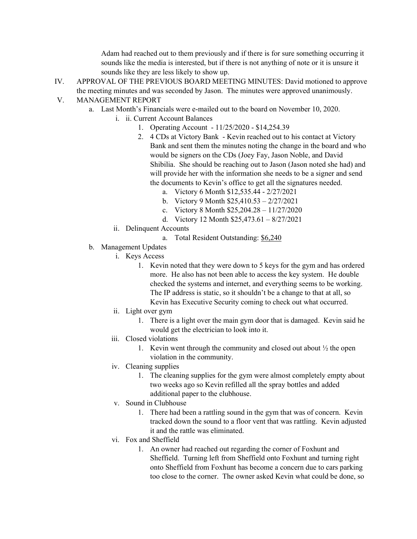Adam had reached out to them previously and if there is for sure something occurring it sounds like the media is interested, but if there is not anything of note or it is unsure it sounds like they are less likely to show up.

- IV. APPROVAL OF THE PREVIOUS BOARD MEETING MINUTES: David motioned to approve the meeting minutes and was seconded by Jason. The minutes were approved unanimously.
- V. MANAGEMENT REPORT
	- a. Last Month's Financials were e-mailed out to the board on November 10, 2020.
		- i. ii. Current Account Balances
			- 1. Operating Account 11/25/2020 \$14,254.39
			- 2. 4 CDs at Victory Bank Kevin reached out to his contact at Victory Bank and sent them the minutes noting the change in the board and who would be signers on the CDs (Joey Fay, Jason Noble, and David Shibilia. She should be reaching out to Jason (Jason noted she had) and will provide her with the information she needs to be a signer and send the documents to Kevin's office to get all the signatures needed.
				- a. Victory 6 Month \$12,535.44 2/27/2021
				- b. Victory 9 Month \$25,410.53 2/27/2021
				- c. Victory 8 Month \$25,204.28 11/27/2020
				- d. Victory 12 Month \$25,473.61 8/27/2021
			- ii. Delinquent Accounts
				- a. Total Resident Outstanding: \$6,240
	- b. Management Updates
		- i. Keys Access
			- 1. Kevin noted that they were down to 5 keys for the gym and has ordered more. He also has not been able to access the key system. He double checked the systems and internet, and everything seems to be working. The IP address is static, so it shouldn't be a change to that at all, so Kevin has Executive Security coming to check out what occurred.
		- ii. Light over gym
			- 1. There is a light over the main gym door that is damaged. Kevin said he would get the electrician to look into it.
		- iii. Closed violations
			- 1. Kevin went through the community and closed out about  $\frac{1}{2}$  the open violation in the community.
		- iv. Cleaning supplies
			- 1. The cleaning supplies for the gym were almost completely empty about two weeks ago so Kevin refilled all the spray bottles and added additional paper to the clubhouse.
		- v. Sound in Clubhouse
			- 1. There had been a rattling sound in the gym that was of concern. Kevin tracked down the sound to a floor vent that was rattling. Kevin adjusted it and the rattle was eliminated.
		- vi. Fox and Sheffield
			- 1. An owner had reached out regarding the corner of Foxhunt and Sheffield. Turning left from Sheffield onto Foxhunt and turning right onto Sheffield from Foxhunt has become a concern due to cars parking too close to the corner. The owner asked Kevin what could be done, so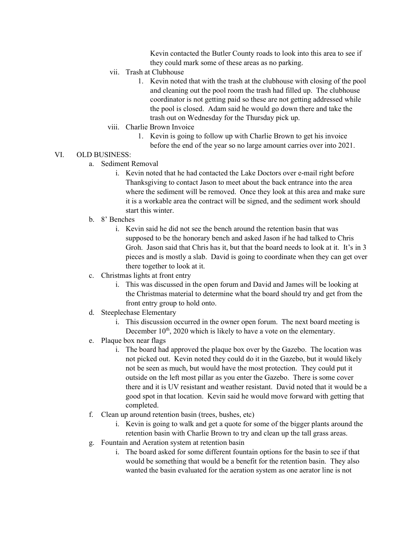Kevin contacted the Butler County roads to look into this area to see if they could mark some of these areas as no parking.

- vii. Trash at Clubhouse
	- 1. Kevin noted that with the trash at the clubhouse with closing of the pool and cleaning out the pool room the trash had filled up. The clubhouse coordinator is not getting paid so these are not getting addressed while the pool is closed. Adam said he would go down there and take the trash out on Wednesday for the Thursday pick up.
- viii. Charlie Brown Invoice
	- 1. Kevin is going to follow up with Charlie Brown to get his invoice
		- before the end of the year so no large amount carries over into 2021.
- VI. OLD BUSINESS:
	- a. Sediment Removal
		- i. Kevin noted that he had contacted the Lake Doctors over e-mail right before Thanksgiving to contact Jason to meet about the back entrance into the area where the sediment will be removed. Once they look at this area and make sure it is a workable area the contract will be signed, and the sediment work should start this winter.
	- b. 8' Benches
		- i. Kevin said he did not see the bench around the retention basin that was supposed to be the honorary bench and asked Jason if he had talked to Chris Groh. Jason said that Chris has it, but that the board needs to look at it. It's in 3 pieces and is mostly a slab. David is going to coordinate when they can get over there together to look at it.
	- c. Christmas lights at front entry
		- i. This was discussed in the open forum and David and James will be looking at the Christmas material to determine what the board should try and get from the front entry group to hold onto.
	- d. Steeplechase Elementary
		- i. This discussion occurred in the owner open forum. The next board meeting is December 10<sup>th</sup>, 2020 which is likely to have a vote on the elementary.
	- e. Plaque box near flags
		- i. The board had approved the plaque box over by the Gazebo. The location was not picked out. Kevin noted they could do it in the Gazebo, but it would likely not be seen as much, but would have the most protection. They could put it outside on the left most pillar as you enter the Gazebo. There is some cover there and it is UV resistant and weather resistant. David noted that it would be a good spot in that location. Kevin said he would move forward with getting that completed.
	- f. Clean up around retention basin (trees, bushes, etc)
		- i. Kevin is going to walk and get a quote for some of the bigger plants around the retention basin with Charlie Brown to try and clean up the tall grass areas.
	- g. Fountain and Aeration system at retention basin
		- i. The board asked for some different fountain options for the basin to see if that would be something that would be a benefit for the retention basin. They also wanted the basin evaluated for the aeration system as one aerator line is not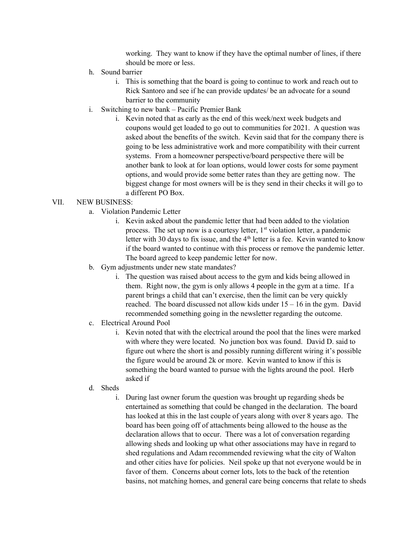working. They want to know if they have the optimal number of lines, if there should be more or less.

- h. Sound barrier
	- i. This is something that the board is going to continue to work and reach out to Rick Santoro and see if he can provide updates/ be an advocate for a sound barrier to the community
- i. Switching to new bank Pacific Premier Bank
	- i. Kevin noted that as early as the end of this week/next week budgets and coupons would get loaded to go out to communities for 2021. A question was asked about the benefits of the switch. Kevin said that for the company there is going to be less administrative work and more compatibility with their current systems. From a homeowner perspective/board perspective there will be another bank to look at for loan options, would lower costs for some payment options, and would provide some better rates than they are getting now. The biggest change for most owners will be is they send in their checks it will go to a different PO Box.

## VII. NEW BUSINESS:

- a. Violation Pandemic Letter
	- i. Kevin asked about the pandemic letter that had been added to the violation process. The set up now is a courtesy letter,  $1<sup>st</sup>$  violation letter, a pandemic letter with 30 days to fix issue, and the  $4<sup>th</sup>$  letter is a fee. Kevin wanted to know if the board wanted to continue with this process or remove the pandemic letter. The board agreed to keep pandemic letter for now.
- b. Gym adjustments under new state mandates?
	- i. The question was raised about access to the gym and kids being allowed in them. Right now, the gym is only allows 4 people in the gym at a time. If a parent brings a child that can't exercise, then the limit can be very quickly reached. The board discussed not allow kids under 15 – 16 in the gym. David recommended something going in the newsletter regarding the outcome.
- c. Electrical Around Pool
	- i. Kevin noted that with the electrical around the pool that the lines were marked with where they were located. No junction box was found. David D. said to figure out where the short is and possibly running different wiring it's possible the figure would be around 2k or more. Kevin wanted to know if this is something the board wanted to pursue with the lights around the pool. Herb asked if
- d. Sheds
	- i. During last owner forum the question was brought up regarding sheds be entertained as something that could be changed in the declaration. The board has looked at this in the last couple of years along with over 8 years ago. The board has been going off of attachments being allowed to the house as the declaration allows that to occur. There was a lot of conversation regarding allowing sheds and looking up what other associations may have in regard to shed regulations and Adam recommended reviewing what the city of Walton and other cities have for policies. Neil spoke up that not everyone would be in favor of them. Concerns about corner lots, lots to the back of the retention basins, not matching homes, and general care being concerns that relate to sheds